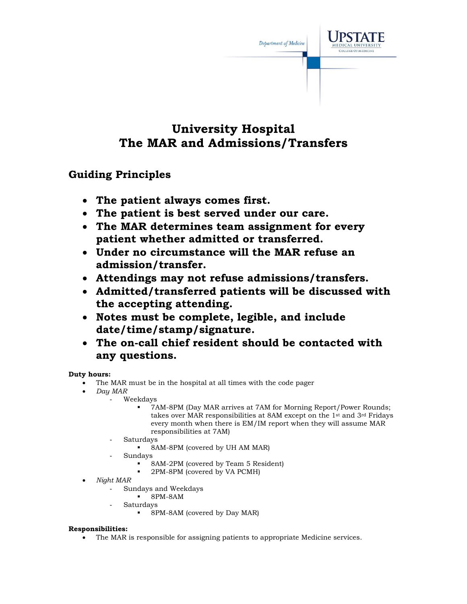

## **University Hospital The MAR and Admissions/Transfers**

### **Guiding Principles**

- **The patient always comes first.**
- **The patient is best served under our care.**
- **The MAR determines team assignment for every patient whether admitted or transferred.**
- **Under no circumstance will the MAR refuse an admission/transfer.**
- **Attendings may not refuse admissions/transfers.**
- **Admitted/transferred patients will be discussed with the accepting attending.**
- **Notes must be complete, legible, and include date/time/stamp/signature.**
- **The on-call chief resident should be contacted with any questions.**

#### **Duty hours:**

- The MAR must be in the hospital at all times with the code pager
- *Day MAR*
	- Weekdays
		- 7AM-8PM (Day MAR arrives at 7AM for Morning Report/Power Rounds; takes over MAR responsibilities at 8AM except on the 1st and 3rd Fridays every month when there is EM/IM report when they will assume MAR responsibilities at 7AM)
		- **Saturdays** 
			- 8AM-8PM (covered by UH AM MAR)
		- Sundays
			- 8AM-2PM (covered by Team 5 Resident)
				- 2PM-8PM (covered by VA PCMH)
- *Night MAR*
	- Sundays and Weekdays
		- 8PM-8AM
	- **Saturdays** 
		- 8PM-8AM (covered by Day MAR)

#### **Responsibilities:**

• The MAR is responsible for assigning patients to appropriate Medicine services.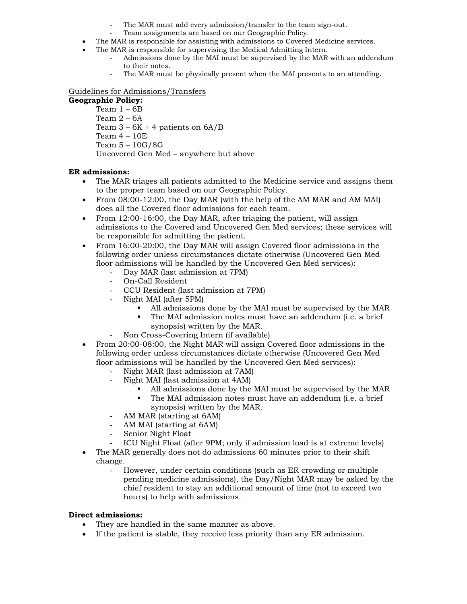- The MAR must add every admission/transfer to the team sign-out.
- Team assignments are based on our Geographic Policy.
- The MAR is responsible for assisting with admissions to Covered Medicine services.
- The MAR is responsible for supervising the Medical Admitting Intern.
	- Admissions done by the MAI must be supervised by the MAR with an addendum to their notes.
	- The MAR must be physically present when the MAI presents to an attending.

#### Guidelines for Admissions/Transfers

#### **Geographic Policy:**

Team 1 – 6B Team 2 – 6A Team  $3 - 6K + 4$  patients on  $6A/B$  Team 4 – 10E Team 5 – 10G/8G Uncovered Gen Med – anywhere but above

#### **ER admissions:**

- The MAR triages all patients admitted to the Medicine service and assigns them to the proper team based on our Geographic Policy.
- From 08:00-12:00, the Day MAR (with the help of the AM MAR and AM MAI) does all the Covered floor admissions for each team.
- From 12:00-16:00, the Day MAR, after triaging the patient, will assign admissions to the Covered and Uncovered Gen Med services; these services will be responsible for admitting the patient.
- From 16:00-20:00, the Day MAR will assign Covered floor admissions in the following order unless circumstances dictate otherwise (Uncovered Gen Med floor admissions will be handled by the Uncovered Gen Med services):
	- Day MAR (last admission at 7PM)
	- On-Call Resident
	- CCU Resident (last admission at 7PM)
	- Night MAI (after 5PM)
		- All admissions done by the MAI must be supervised by the MAR
		- The MAI admission notes must have an addendum (i.e. a brief synopsis) written by the MAR.
		- Non Cross-Covering Intern (if available)
- From 20:00-08:00, the Night MAR will assign Covered floor admissions in the following order unless circumstances dictate otherwise (Uncovered Gen Med floor admissions will be handled by the Uncovered Gen Med services):
	- Night MAR (last admission at 7AM)
	- Night MAI (last admission at 4AM)
		- All admissions done by the MAI must be supervised by the MAR
		- The MAI admission notes must have an addendum (i.e. a brief synopsis) written by the MAR.
	- AM MAR (starting at 6AM)
	- AM MAI (starting at 6AM)
	- Senior Night Float
	- ICU Night Float (after 9PM; only if admission load is at extreme levels)
- The MAR generally does not do admissions 60 minutes prior to their shift change.
	- However, under certain conditions (such as ER crowding or multiple pending medicine admissions), the Day/Night MAR may be asked by the chief resident to stay an additional amount of time (not to exceed two hours) to help with admissions.

#### **Direct admissions:**

- They are handled in the same manner as above.
- If the patient is stable, they receive less priority than any ER admission.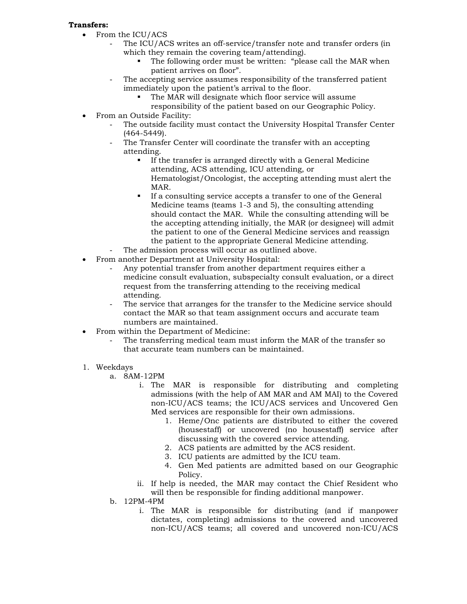#### **Transfers:**

- From the ICU/ACS
	- The ICU/ACS writes an off-service/transfer note and transfer orders (in which they remain the covering team/attending).
		- The following order must be written: "please call the MAR when patient arrives on floor".
	- The accepting service assumes responsibility of the transferred patient immediately upon the patient's arrival to the floor.
		- The MAR will designate which floor service will assume
		- responsibility of the patient based on our Geographic Policy.
- From an Outside Facility:
	- The outside facility must contact the University Hospital Transfer Center (464-5449).
	- The Transfer Center will coordinate the transfer with an accepting attending.
		- If the transfer is arranged directly with a General Medicine attending, ACS attending, ICU attending, or Hematologist/Oncologist, the accepting attending must alert the MAR.
		- If a consulting service accepts a transfer to one of the General Medicine teams (teams 1-3 and 5), the consulting attending should contact the MAR. While the consulting attending will be the accepting attending initially, the MAR (or designee) will admit the patient to one of the General Medicine services and reassign the patient to the appropriate General Medicine attending.
	- The admission process will occur as outlined above.
- From another Department at University Hospital:
	- Any potential transfer from another department requires either a medicine consult evaluation, subspecialty consult evaluation, or a direct request from the transferring attending to the receiving medical attending.
	- The service that arranges for the transfer to the Medicine service should contact the MAR so that team assignment occurs and accurate team numbers are maintained.
- From within the Department of Medicine:
	- The transferring medical team must inform the MAR of the transfer so that accurate team numbers can be maintained.
- 1. Weekdays
	- a. 8AM-12PM
		- i. The MAR is responsible for distributing and completing admissions (with the help of AM MAR and AM MAI) to the Covered non-ICU/ACS teams; the ICU/ACS services and Uncovered Gen Med services are responsible for their own admissions.
			- 1. Heme/Onc patients are distributed to either the covered (housestaff) or uncovered (no housestaff) service after discussing with the covered service attending.
			- 2. ACS patients are admitted by the ACS resident.
			- 3. ICU patients are admitted by the ICU team.
			- 4. Gen Med patients are admitted based on our Geographic Policy.
		- ii. If help is needed, the MAR may contact the Chief Resident who will then be responsible for finding additional manpower.
	- b. 12PM-4PM
		- i. The MAR is responsible for distributing (and if manpower dictates, completing) admissions to the covered and uncovered non-ICU/ACS teams; all covered and uncovered non-ICU/ACS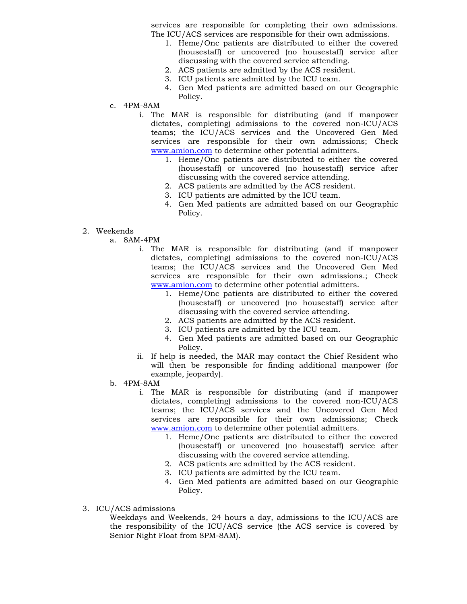services are responsible for completing their own admissions. The ICU/ACS services are responsible for their own admissions.

- 1. Heme/Onc patients are distributed to either the covered (housestaff) or uncovered (no housestaff) service after discussing with the covered service attending.
- 2. ACS patients are admitted by the ACS resident.
- 3. ICU patients are admitted by the ICU team.
- 4. Gen Med patients are admitted based on our Geographic Policy.
- c. 4PM-8AM
	- i. The MAR is responsible for distributing (and if manpower dictates, completing) admissions to the covered non-ICU/ACS teams; the ICU/ACS services and the Uncovered Gen Med services are responsible for their own admissions; Check www.amion.com to determine other potential admitters.
		- 1. Heme/Onc patients are distributed to either the covered (housestaff) or uncovered (no housestaff) service after discussing with the covered service attending.
		- 2. ACS patients are admitted by the ACS resident.
		- 3. ICU patients are admitted by the ICU team.
		- 4. Gen Med patients are admitted based on our Geographic Policy.
- 2. Weekends
	- a. 8AM-4PM
		- i. The MAR is responsible for distributing (and if manpower dictates, completing) admissions to the covered non-ICU/ACS teams; the ICU/ACS services and the Uncovered Gen Med services are responsible for their own admissions.; Check www.amion.com to determine other potential admitters.
			- 1. Heme/Onc patients are distributed to either the covered (housestaff) or uncovered (no housestaff) service after discussing with the covered service attending.
			- 2. ACS patients are admitted by the ACS resident.
			- 3. ICU patients are admitted by the ICU team.
			- 4. Gen Med patients are admitted based on our Geographic Policy.
		- ii. If help is needed, the MAR may contact the Chief Resident who will then be responsible for finding additional manpower (for example, jeopardy).
	- b. 4PM-8AM
		- i. The MAR is responsible for distributing (and if manpower dictates, completing) admissions to the covered non-ICU/ACS teams; the ICU/ACS services and the Uncovered Gen Med services are responsible for their own admissions; Check www.amion.com to determine other potential admitters.
			- 1. Heme/Onc patients are distributed to either the covered (housestaff) or uncovered (no housestaff) service after discussing with the covered service attending.
			- 2. ACS patients are admitted by the ACS resident.
			- 3. ICU patients are admitted by the ICU team.
			- 4. Gen Med patients are admitted based on our Geographic Policy.
- 3. ICU/ACS admissions

Weekdays and Weekends, 24 hours a day, admissions to the ICU/ACS are the responsibility of the ICU/ACS service (the ACS service is covered by Senior Night Float from 8PM-8AM).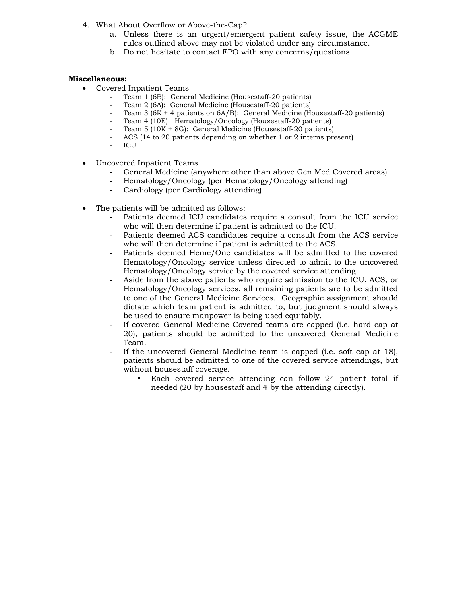- 4. What About Overflow or Above-the-Cap?
	- a. Unless there is an urgent/emergent patient safety issue, the ACGME rules outlined above may not be violated under any circumstance.
	- b. Do not hesitate to contact EPO with any concerns/questions.

#### **Miscellaneous:**

- Covered Inpatient Teams
	- Team 1 (6B): General Medicine (Housestaff-20 patients)
	- Team 2 (6A): General Medicine (Housestaff-20 patients)
	- Team 3 ( $6K + 4$  patients on  $6A/B$ ): General Medicine (Housestaff-20 patients)
	- Team 4 (10E): Hematology/Oncology (Housestaff-20 patients)
	- Team 5 (10K + 8G): General Medicine (Housestaff-20 patients)
	- ACS (14 to 20 patients depending on whether 1 or 2 interns present)
	- ICU
- Uncovered Inpatient Teams
	- General Medicine (anywhere other than above Gen Med Covered areas)
	- Hematology/Oncology (per Hematology/Oncology attending)
	- Cardiology (per Cardiology attending)
- The patients will be admitted as follows:
	- Patients deemed ICU candidates require a consult from the ICU service who will then determine if patient is admitted to the ICU.
	- Patients deemed ACS candidates require a consult from the ACS service who will then determine if patient is admitted to the ACS.
	- Patients deemed Heme/Onc candidates will be admitted to the covered Hematology/Oncology service unless directed to admit to the uncovered Hematology/Oncology service by the covered service attending.
	- Aside from the above patients who require admission to the ICU, ACS, or Hematology/Oncology services, all remaining patients are to be admitted to one of the General Medicine Services. Geographic assignment should dictate which team patient is admitted to, but judgment should always be used to ensure manpower is being used equitably.
	- If covered General Medicine Covered teams are capped (i.e. hard cap at 20), patients should be admitted to the uncovered General Medicine Team.
	- If the uncovered General Medicine team is capped (i.e. soft cap at 18), patients should be admitted to one of the covered service attendings, but without housestaff coverage.
		- Each covered service attending can follow 24 patient total if needed (20 by housestaff and 4 by the attending directly).